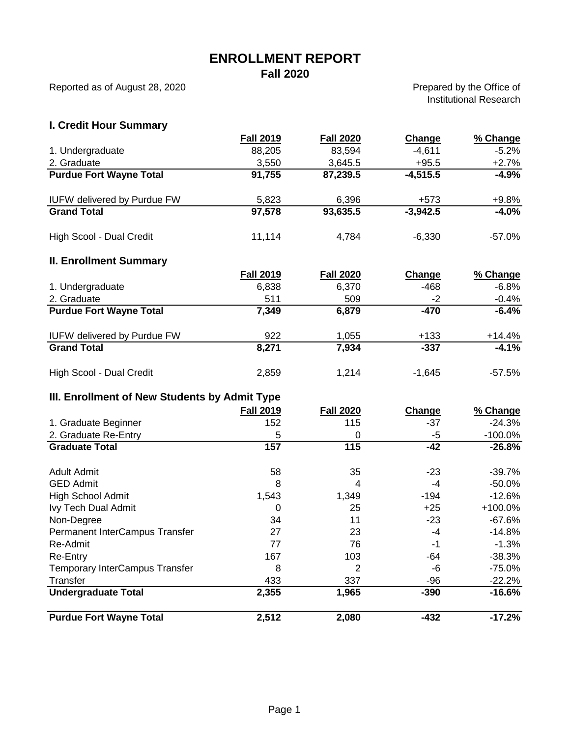# **ENROLLMENT REPORT**

**Fall 2020**

Reported as of August 28, 2020

Prepared by the Office of Institutional Research

## **I. Credit Hour Summary**

|                                               | <b>Fall 2019</b> | <b>Fall 2020</b> | <b>Change</b> | % Change   |
|-----------------------------------------------|------------------|------------------|---------------|------------|
| 1. Undergraduate                              | 88,205           | 83,594           | $-4,611$      | $-5.2%$    |
| 2. Graduate                                   | 3,550            | 3,645.5          | $+95.5$       | $+2.7%$    |
| <b>Purdue Fort Wayne Total</b>                | 91,755           | 87,239.5         | $-4,515.5$    | $-4.9%$    |
| <b>IUFW delivered by Purdue FW</b>            | 5,823            | 6,396            | $+573$        | $+9.8%$    |
| <b>Grand Total</b>                            | 97,578           | 93,635.5         | $-3,942.5$    | $-4.0%$    |
| High Scool - Dual Credit                      | 11,114           | 4,784            | $-6,330$      | $-57.0%$   |
| <b>II. Enrollment Summary</b>                 |                  |                  |               |            |
|                                               | <b>Fall 2019</b> | <b>Fall 2020</b> | Change        | % Change   |
| 1. Undergraduate                              | 6,838            | 6,370            | $-468$        | $-6.8%$    |
| 2. Graduate                                   | 511              | 509              | $-2$          | $-0.4%$    |
| <b>Purdue Fort Wayne Total</b>                | 7,349            | 6,879            | $-470$        | $-6.4%$    |
| <b>IUFW delivered by Purdue FW</b>            | 922              | 1,055            | $+133$        | $+14.4%$   |
| <b>Grand Total</b>                            | 8,271            | 7,934            | $-337$        | $-4.1%$    |
| High Scool - Dual Credit                      | 2,859            | 1,214            | $-1,645$      | $-57.5%$   |
| III. Enrollment of New Students by Admit Type |                  |                  |               |            |
|                                               | <b>Fall 2019</b> | <b>Fall 2020</b> | <b>Change</b> | % Change   |
| 1. Graduate Beginner                          | 152              | 115              | $-37$         | $-24.3%$   |
| 2. Graduate Re-Entry                          | 5                | 0                | $-5$          | $-100.0\%$ |
| <b>Graduate Total</b>                         | 157              | 115              | $-42$         | $-26.8%$   |
| <b>Adult Admit</b>                            | 58               | 35               | $-23$         | $-39.7%$   |
| <b>GED Admit</b>                              | 8                | 4                | $-4$          | $-50.0%$   |
| High School Admit                             | 1,543            | 1,349            | $-194$        | $-12.6%$   |
| Ivy Tech Dual Admit                           | $\mathbf 0$      | 25               | $+25$         | +100.0%    |
| Non-Degree                                    | 34               | 11               | $-23$         | $-67.6%$   |
| Permanent InterCampus Transfer                | 27               | 23               | -4            | $-14.8%$   |
| Re-Admit                                      | 77               | 76               | $-1$          | $-1.3%$    |
| Re-Entry                                      | 167              | 103              | $-64$         | $-38.3%$   |
| Temporary InterCampus Transfer                | 8                | 2                | -6            | $-75.0%$   |
| Transfer                                      | 433              | 337              | $-96$         | $-22.2%$   |
| <b>Undergraduate Total</b>                    | 2,355            | 1,965            | $-390$        | $-16.6%$   |
| <b>Purdue Fort Wayne Total</b>                | 2,512            | 2,080            | $-432$        | $-17.2%$   |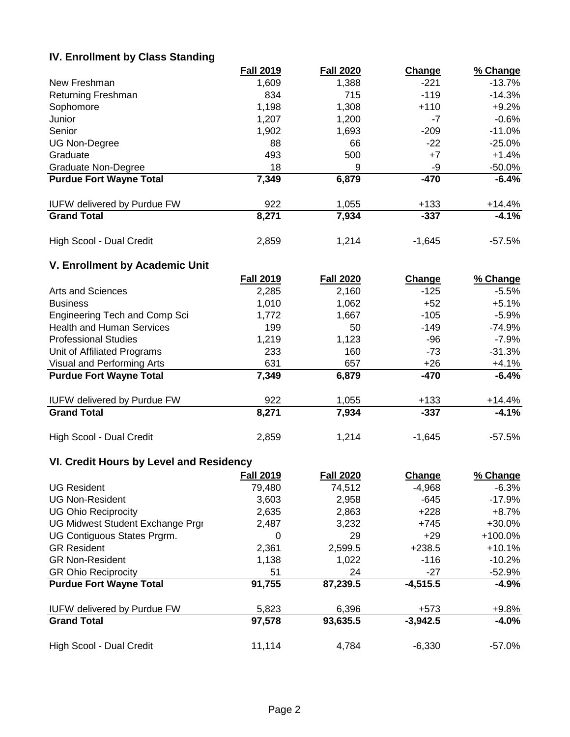#### **IV. Enrollment by Class Standing**

|                                    | <b>Fall 2019</b> | <b>Fall 2020</b> | Change   | % Change |
|------------------------------------|------------------|------------------|----------|----------|
| New Freshman                       | 1,609            | 1,388            | $-221$   | -13.7%   |
| <b>Returning Freshman</b>          | 834              | 715              | $-119$   | $-14.3%$ |
| Sophomore                          | 1,198            | 1,308            | $+110$   | $+9.2%$  |
| Junior                             | 1,207            | 1,200            | -7       | $-0.6%$  |
| Senior                             | 1,902            | 1,693            | $-209$   | -11.0%   |
| <b>UG Non-Degree</b>               | 88               | 66               | $-22$    | $-25.0%$ |
| Graduate                           | 493              | 500              | $+7$     | $+1.4%$  |
| Graduate Non-Degree                | 18               | 9                | -9       | -50.0%   |
| <b>Purdue Fort Wayne Total</b>     | 7,349            | 6,879            | $-470$   | $-6.4%$  |
| <b>IUFW delivered by Purdue FW</b> | 922              | 1,055            | $+133$   | $+14.4%$ |
| <b>Grand Total</b>                 | 8,271            | 7,934            | $-337$   | $-4.1%$  |
| High Scool - Dual Credit           | 2,859            | 1,214            | $-1.645$ | -57.5%   |

## **V. Enrollment by Academic Unit**

|                                    | <b>Fall 2019</b> | <b>Fall 2020</b> | <b>Change</b> | % Change |
|------------------------------------|------------------|------------------|---------------|----------|
| Arts and Sciences                  | 2,285            | 2,160            | $-125$        | $-5.5%$  |
| <b>Business</b>                    | 1,010            | 1,062            | $+52$         | $+5.1%$  |
| Engineering Tech and Comp Sci      | 1,772            | 1,667            | $-105$        | $-5.9%$  |
| <b>Health and Human Services</b>   | 199              | 50               | $-149$        | $-74.9%$ |
| <b>Professional Studies</b>        | 1,219            | 1,123            | -96           | $-7.9\%$ |
| Unit of Affiliated Programs        | 233              | 160              | $-73$         | $-31.3%$ |
| Visual and Performing Arts         | 631              | 657              | +26           | $+4.1%$  |
| <b>Purdue Fort Wayne Total</b>     | 7,349            | 6,879            | $-470$        | $-6.4%$  |
| <b>IUFW delivered by Purdue FW</b> | 922              | 1,055            | $+133$        | $+14.4%$ |
| <b>Grand Total</b>                 | 8,271            | 7,934            | $-337$        | $-4.1%$  |
| High Scool - Dual Credit           | 2,859            | 1,214            | $-1,645$      | $-57.5%$ |

## **VI. Credit Hours by Level and Residency**

|                                    | <b>Fall 2019</b> | <b>Fall 2020</b> | Change     | % Change  |
|------------------------------------|------------------|------------------|------------|-----------|
| <b>UG Resident</b>                 | 79,480           | 74,512           | $-4,968$   | $-6.3%$   |
| <b>UG Non-Resident</b>             | 3,603            | 2,958            | $-645$     | $-17.9%$  |
| <b>UG Ohio Reciprocity</b>         | 2,635            | 2,863            | $+228$     | $+8.7%$   |
| UG Midwest Student Exchange Prgi   | 2,487            | 3,232            | $+745$     | $+30.0%$  |
| UG Contiguous States Prgrm.        | 0                | 29               | $+29$      | $+100.0%$ |
| <b>GR Resident</b>                 | 2,361            | 2,599.5          | $+238.5$   | $+10.1%$  |
| <b>GR Non-Resident</b>             | 1,138            | 1,022            | $-116$     | $-10.2%$  |
| <b>GR Ohio Reciprocity</b>         | 51               | 24               | -27        | -52.9%    |
| <b>Purdue Fort Wayne Total</b>     | 91,755           | 87,239.5         | $-4,515.5$ | $-4.9%$   |
| <b>IUFW delivered by Purdue FW</b> | 5,823            | 6,396            | +573       | $+9.8%$   |
| <b>Grand Total</b>                 | 97,578           | 93,635.5         | $-3,942.5$ | $-4.0%$   |
| High Scool - Dual Credit           | 11,114           | 4,784            | $-6,330$   | $-57.0\%$ |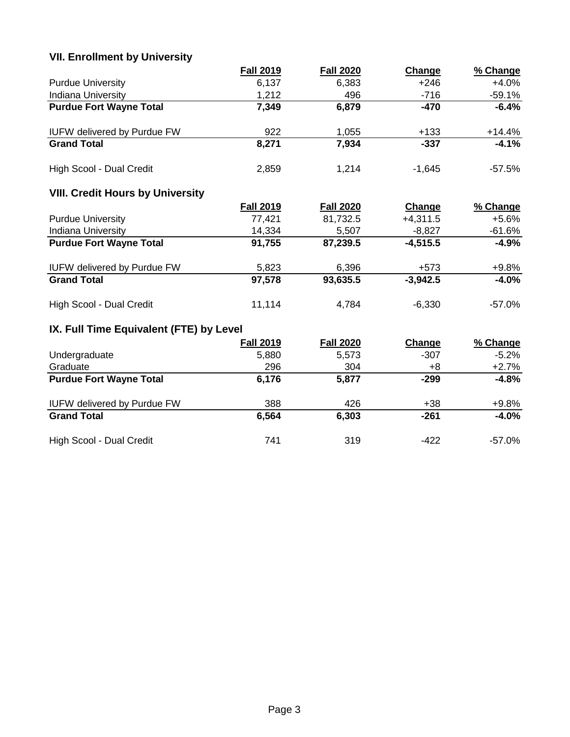## **VII. Enrollment by University**

|                                         | <b>Fall 2019</b> | <b>Fall 2020</b> | Change     | % Change |
|-----------------------------------------|------------------|------------------|------------|----------|
| <b>Purdue University</b>                | 6,137            | 6,383            | $+246$     | $+4.0%$  |
| Indiana University                      | 1,212            | 496              | $-716$     | $-59.1%$ |
| <b>Purdue Fort Wayne Total</b>          | 7,349            | 6,879            | $-470$     | $-6.4%$  |
| <b>IUFW delivered by Purdue FW</b>      | 922              | 1,055            | $+133$     | $+14.4%$ |
| <b>Grand Total</b>                      | 8,271            | 7,934            | $-337$     | $-4.1%$  |
| High Scool - Dual Credit                | 2,859            | 1,214            | $-1,645$   | $-57.5%$ |
| <b>VIII. Credit Hours by University</b> |                  |                  |            |          |
|                                         | <b>Fall 2019</b> | <b>Fall 2020</b> | Change     | % Change |
| <b>Purdue University</b>                | 77,421           | 81,732.5         | $+4,311.5$ | $+5.6%$  |
| Indiana University                      | 14,334           | 5,507            | $-8,827$   | $-61.6%$ |
| <b>Purdue Fort Wayne Total</b>          | 91,755           | 87,239.5         | $-4,515.5$ | $-4.9%$  |
| <b>IUFW delivered by Purdue FW</b>      | 5,823            | 6,396            | $+573$     | $+9.8%$  |
| <b>Grand Total</b>                      | 97,578           | 93,635.5         | $-3,942.5$ | $-4.0%$  |
| High Scool - Dual Credit                | 11,114           | 4,784            | $-6,330$   | $-57.0%$ |
| IX. Full Time Equivalent (FTE) by Level |                  |                  |            |          |
|                                         | <b>Fall 2019</b> | <b>Fall 2020</b> | Change     | % Change |
| Undergraduate                           | 5,880            | 5,573            | $-307$     | $-5.2%$  |
| Graduate                                | 296              | 304              | $+8$       | $+2.7%$  |
| <b>Purdue Fort Wayne Total</b>          | 6,176            | 5,877            | $-299$     | $-4.8%$  |
| <b>IUFW delivered by Purdue FW</b>      | 388              | 426              | $+38$      | $+9.8%$  |
| <b>Grand Total</b>                      | 6,564            | 6,303            | $-261$     | $-4.0%$  |

High Scool - Dual Credit **741** 319 -422 -57.0%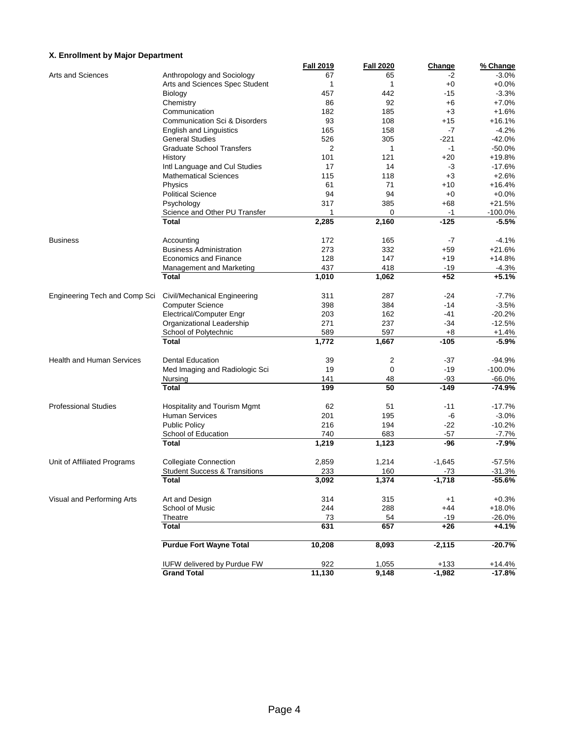#### **X. Enrollment by Major Department**

|                                  |                                          | <b>Fall 2019</b> | <b>Fall 2020</b> | Change   | % Change  |
|----------------------------------|------------------------------------------|------------------|------------------|----------|-----------|
| Arts and Sciences                | Anthropology and Sociology               | 67               | 65               | -2       | $-3.0%$   |
|                                  | Arts and Sciences Spec Student           | 1                | 1                | $+0$     | $+0.0%$   |
|                                  | Biology                                  | 457              | 442              | $-15$    | $-3.3%$   |
|                                  | Chemistry                                | 86               | 92               | $+6$     | $+7.0%$   |
|                                  | Communication                            | 182              | 185              | $+3$     | $+1.6%$   |
|                                  | Communication Sci & Disorders            | 93               | 108              | $+15$    | $+16.1%$  |
|                                  | <b>English and Linguistics</b>           | 165              | 158              | $-7$     | $-4.2%$   |
|                                  | <b>General Studies</b>                   | 526              | 305              | -221     | $-42.0%$  |
|                                  | <b>Graduate School Transfers</b>         | 2                | 1                | -1       | $-50.0%$  |
|                                  | History                                  | 101              | 121              | $+20$    | +19.8%    |
|                                  | Intl Language and Cul Studies            | 17               | 14               | -3       | $-17.6%$  |
|                                  | <b>Mathematical Sciences</b>             | 115              | 118              | $+3$     | $+2.6%$   |
|                                  | Physics                                  | 61               | 71               | $+10$    | $+16.4%$  |
|                                  | <b>Political Science</b>                 | 94               | 94               | $+0$     | $+0.0%$   |
|                                  | Psychology                               | 317              | 385              | $+68$    | $+21.5%$  |
|                                  | Science and Other PU Transfer            | 1                | 0                | $-1$     | $-100.0%$ |
|                                  | <b>Total</b>                             | 2,285            | 2,160            | $-125$   | $-5.5%$   |
| <b>Business</b>                  | Accounting                               | 172              | 165              | $-7$     | $-4.1%$   |
|                                  | <b>Business Administration</b>           | 273              | 332              | $+59$    | $+21.6%$  |
|                                  | <b>Economics and Finance</b>             | 128              | 147              | $+19$    | $+14.8%$  |
|                                  | Management and Marketing                 | 437              | 418              | $-19$    | $-4.3%$   |
|                                  | <b>Total</b>                             | 1,010            | 1,062            | $+52$    | $+5.1%$   |
| Engineering Tech and Comp Sci    | Civil/Mechanical Engineering             | 311              | 287              | -24      | $-7.7%$   |
|                                  | <b>Computer Science</b>                  | 398              | 384              | $-14$    | $-3.5%$   |
|                                  | <b>Electrical/Computer Engr</b>          | 203              | 162              | $-41$    | $-20.2%$  |
|                                  | Organizational Leadership                | 271              | 237              | $-34$    | $-12.5%$  |
|                                  | School of Polytechnic                    | 589              | 597              | $+8$     | $+1.4%$   |
|                                  | <b>Total</b>                             | 1,772            | 1,667            | $-105$   | $-5.9%$   |
| <b>Health and Human Services</b> | <b>Dental Education</b>                  | 39               | 2                | $-37$    | $-94.9%$  |
|                                  | Med Imaging and Radiologic Sci           | 19               | 0                | $-19$    | $-100.0%$ |
|                                  | Nursing                                  | 141              | 48               | $-93$    | $-66.0%$  |
|                                  | <b>Total</b>                             | 199              | 50               | $-149$   | $-74.9%$  |
| <b>Professional Studies</b>      | Hospitality and Tourism Mgmt             | 62               | 51               | $-11$    | $-17.7%$  |
|                                  | <b>Human Services</b>                    | 201              | 195              | -6       | $-3.0%$   |
|                                  | <b>Public Policy</b>                     | 216              | 194              | $-22$    | $-10.2%$  |
|                                  | School of Education                      | 740              | 683              | $-57$    | $-7.7%$   |
|                                  | <b>Total</b>                             | 1,219            | 1,123            | -96      | $-7.9%$   |
| Unit of Affiliated Programs      | <b>Collegiate Connection</b>             | 2,859            | 1,214            | $-1,645$ | $-57.5%$  |
|                                  | <b>Student Success &amp; Transitions</b> | 233              | 160              | $-73$    | $-31.3%$  |
|                                  | <b>Total</b>                             | 3,092            | 1,374            | $-1,718$ | $-55.6%$  |
|                                  |                                          |                  |                  |          |           |
| Visual and Performing Arts       | Art and Design                           | 314              | 315              | $+1$     | $+0.3%$   |
|                                  | School of Music                          | 244              | 288              | $+44$    | $+18.0%$  |
|                                  | Theatre                                  | 73               | 54               | $-19$    | $-26.0%$  |
|                                  | <b>Total</b>                             | 631              | 657              | $+26$    | $+4.1%$   |
|                                  | <b>Purdue Fort Wayne Total</b>           | 10,208           | 8,093            | $-2,115$ | $-20.7%$  |
|                                  | <b>IUFW delivered by Purdue FW</b>       | 922              | 1,055            | $+133$   | $+14.4%$  |
|                                  | <b>Grand Total</b>                       | 11,130           | 9,148            | $-1,982$ | $-17.8%$  |